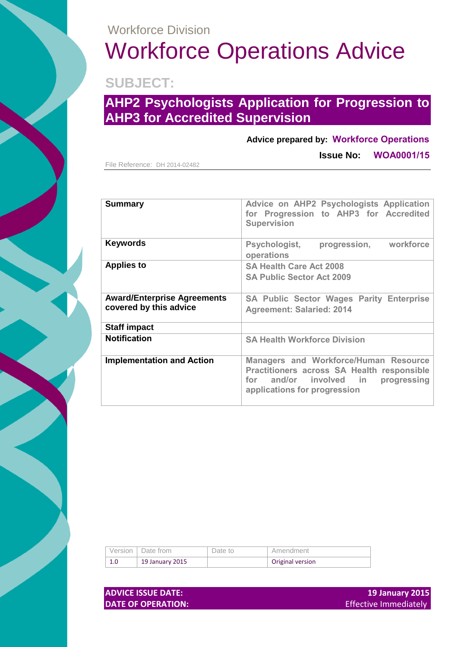### Workforce Division

# Workforce Operations Advice

**SUBJECT:**

## **AHP2 Psychologists Application for Progression to AHP3 for Accredited Supervision**

#### **Advice prepared by: Workforce Operations**

File Reference: DH 2014-02482

**Issue No: WOA0001/15**

| <b>Summary</b>                                               | Advice on AHP2 Psychologists Application<br>for Progression to AHP3 for Accredited<br><b>Supervision</b>                                                               |  |  |
|--------------------------------------------------------------|------------------------------------------------------------------------------------------------------------------------------------------------------------------------|--|--|
| Keywords                                                     | progression, workforce<br><b>Psychologist,</b><br>operations                                                                                                           |  |  |
| <b>Applies to</b>                                            | <b>SA Health Care Act 2008</b><br><b>SA Public Sector Act 2009</b>                                                                                                     |  |  |
| <b>Award/Enterprise Agreements</b><br>covered by this advice | <b>SA Public Sector Wages Parity Enterprise</b><br><b>Agreement: Salaried: 2014</b>                                                                                    |  |  |
| <b>Staff impact</b>                                          |                                                                                                                                                                        |  |  |
| <b>Notification</b>                                          | <b>SA Health Workforce Division</b>                                                                                                                                    |  |  |
| <b>Implementation and Action</b>                             | <b>Managers and Workforce/Human Resource</b><br>Practitioners across SA Health responsible<br>and/or involved in<br>progressing<br>for<br>applications for progression |  |  |

|     | Version   Date from | Date to | Amendment        |
|-----|---------------------|---------|------------------|
| 1.0 | 19 January 2015     |         | Original version |

**DATE OF OPERATION: Effective Immediately** 

**ADVICE ISSUE DATE:** 19 **January 2015**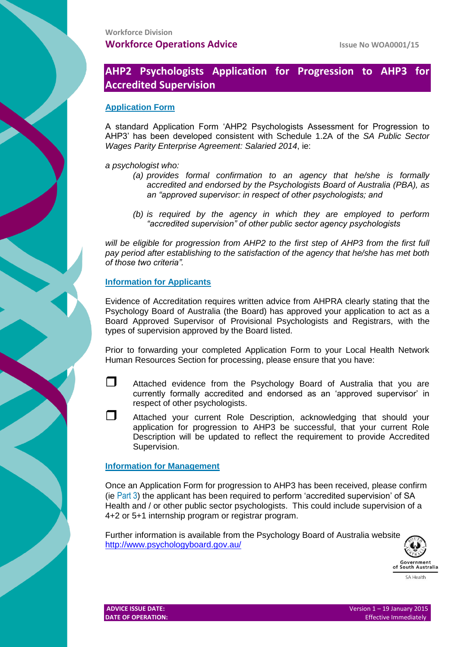#### **AHP2 Psychologists Application for Progression to AHP3 for Accredited Supervision**

#### **Application Form**

A standard Application Form 'AHP2 Psychologists Assessment for Progression to AHP3' has been developed consistent with Schedule 1.2A of the *SA Public Sector Wages Parity Enterprise Agreement: Salaried 2014*, ie:

*a psychologist who:*

- *(a) provides formal confirmation to an agency that he/she is formally accredited and endorsed by the Psychologists Board of Australia (PBA), as an "approved supervisor: in respect of other psychologists; and*
- *(b) is required by the agency in which they are employed to perform "accredited supervision" of other public sector agency psychologists*

*will be eligible for progression from AHP2 to the first step of AHP3 from the first full pay period after establishing to the satisfaction of the agency that he/she has met both of those two criteria".*

#### **Information for Applicants**

Evidence of Accreditation requires written advice from AHPRA clearly stating that the Psychology Board of Australia (the Board) has approved your application to act as a Board Approved Supervisor of Provisional Psychologists and Registrars, with the types of supervision approved by the Board listed.

Prior to forwarding your completed Application Form to your Local Health Network Human Resources Section for processing, please ensure that you have:

- Attached evidence from the Psychology Board of Australia that you are currently formally accredited and endorsed as an 'approved supervisor' in respect of other psychologists.
- Attached your current Role Description, acknowledging that should your application for progression to AHP3 be successful, that your current Role Description will be updated to reflect the requirement to provide Accredited Supervision.

#### **Information for Management**

Once an Application Form for progression to AHP3 has been received, please confirm (ie Part 3) the applicant has been required to perform 'accredited supervision' of SA Health and / or other public sector psychologists. This could include supervision of a 4+2 or 5+1 internship program or registrar program.

Further information is available from the Psychology Board of Australia website <http://www.psychologyboard.gov.au/>

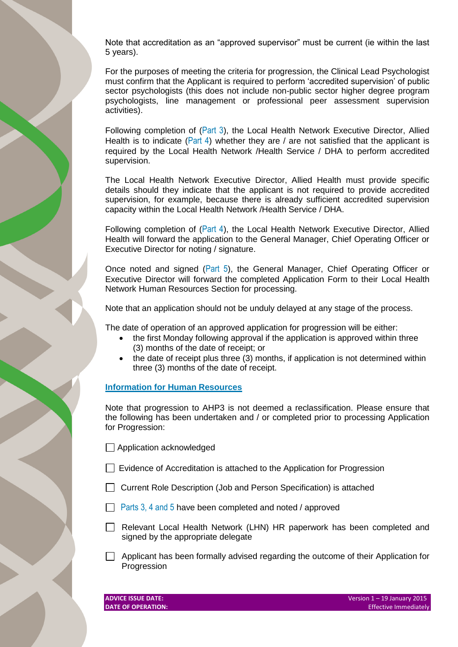Note that accreditation as an "approved supervisor" must be current (ie within the last 5 years).

For the purposes of meeting the criteria for progression, the Clinical Lead Psychologist must confirm that the Applicant is required to perform 'accredited supervision' of public sector psychologists (this does not include non-public sector higher degree program psychologists, line management or professional peer assessment supervision activities).

Following completion of (Part 3), the Local Health Network Executive Director, Allied Health is to indicate (Part 4) whether they are / are not satisfied that the applicant is required by the Local Health Network /Health Service / DHA to perform accredited supervision.

The Local Health Network Executive Director, Allied Health must provide specific details should they indicate that the applicant is not required to provide accredited supervision, for example, because there is already sufficient accredited supervision capacity within the Local Health Network /Health Service / DHA.

Following completion of (Part 4), the Local Health Network Executive Director, Allied Health will forward the application to the General Manager, Chief Operating Officer or Executive Director for noting / signature.

Once noted and signed (Part 5), the General Manager, Chief Operating Officer or Executive Director will forward the completed Application Form to their Local Health Network Human Resources Section for processing.

Note that an application should not be unduly delayed at any stage of the process.

The date of operation of an approved application for progression will be either:

- the first Monday following approval if the application is approved within three (3) months of the date of receipt; or
- the date of receipt plus three (3) months, if application is not determined within three (3) months of the date of receipt.

#### **Information for Human Resources**

Note that progression to AHP3 is not deemed a reclassification. Please ensure that the following has been undertaken and / or completed prior to processing Application for Progression:

Application acknowledged

- Evidence of Accreditation is attached to the Application for Progression
- Current Role Description (Job and Person Specification) is attached
- **Parts 3, 4 and 5 have been completed and noted / approved**
- Relevant Local Health Network (LHN) HR paperwork has been completed and signed by the appropriate delegate
- $\Box$  Applicant has been formally advised regarding the outcome of their Application for Progression